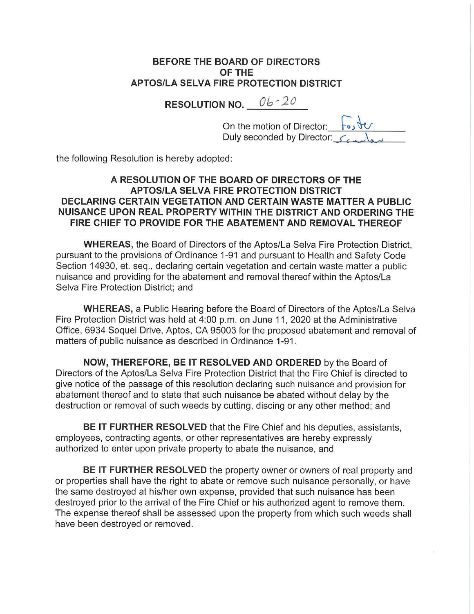## **BEFORE THE BOARD OF DIRECTORS OF THE APTOS/LA SELVA FIRE PROTECTION DISTRICT**

**RESOLUTION NO.**  $06 - 20$ 

On the motion of Director: **h.**<br>Duly seconded by Director: C

the following Resolution is hereby adopted:

## **A RESOLUTION OF THE BOARD OF DIRECTORS OF THE APTOS/LA SELVA FIRE PROTECTION DISTRICT DECLARING CERTAIN VEGETATION AND CERTAIN WASTE MATTER A PUBLIC NUISANCE UPON REAL PROPERTY WITHIN THE DISTRICT AND ORDERING THE FIRE CHIEF TO PROVIDE FOR THE ABATEMENT AND REMOVAL THEREOF**

**WHEREAS,** the Board of Directors of the Aptos/La Selva Fire Protection District, pursuant to the provisions of Ordinance 1-91 and pursuant to Health and Safety Code Section 14930, et. seq., declaring certain vegetation and certain waste matter a public nuisance and providing for the abatement and removal thereof within the Aptos/La Selva Fire Protection District; and

**WHEREAS,** a Public Hearing before the Board of Directors of the Aptos/La Selva Fire Protection District was held at 4:00 p.m. on June 11, 2020 at the Administrative Office, 6934 Soquel Drive, Aptos, CA 95003 for the proposed abatement and removal of matters of public nuisance as described in Ordinance 1-91.

**NOW, THEREFORE, BE IT RESOLVED AND ORDERED** by the Board of Directors of the Aptos/La Selva Fire Protection District that the Fire Chief is directed to give notice of the passage of this resolution declaring such nuisance and provision for abatement thereof and to state that such nuisance be abated without delay by the destruction or removal of such weeds by cutting, discing or any other method; and

**BE IT FURTHER RESOLVED** that the Fire Chief and his deputies, assistants, employees, contracting agents, or other representatives are hereby expressly authorized to enter upon private property to abate the nuisance, and

**BE IT FURTHER RESOLVED** the property owner or owners of real property and or properties shall have the right to abate or remove such nuisance personally, or have the same destroyed at his/her own expense, provided that such nuisance has been destroyed prior to the arrival of the Fire Chief or his authorized agent to remove them. The expense thereof shall be assessed upon the property from which such weeds shall have been destroyed or removed.